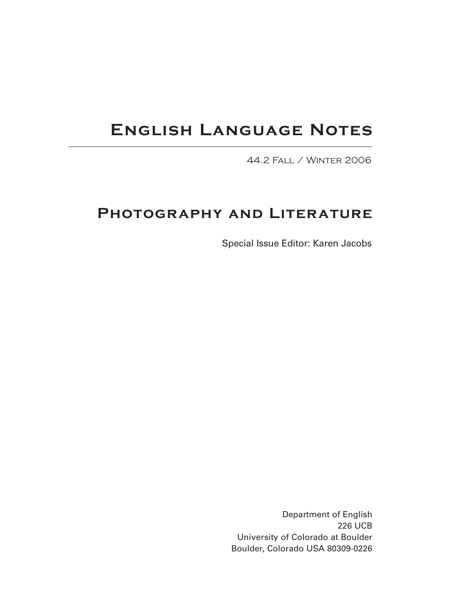# **English Language Notes**

44.2 Fall / Winter 2006

# **Photography and Literature**

Special Issue Editor: Karen Jacobs

Department of English 226 UCB University of Colorado at Boulder Boulder, Colorado USA 80309-0226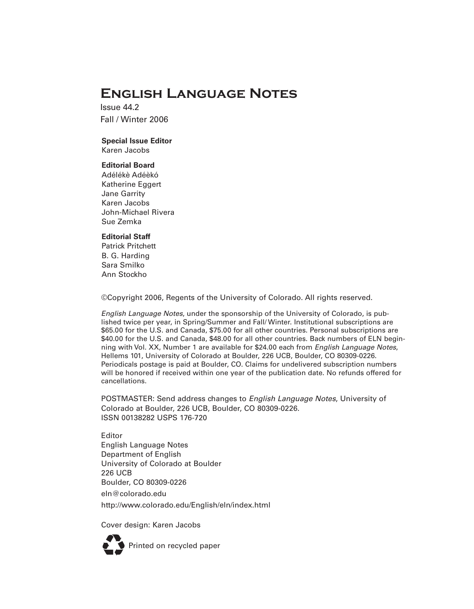# **English Language Notes**

Issue 44.2 Fall / Winter 2006

# **Special Issue Editor**

Karen Jacobs

# **Editorial Board**

Adélékè Adéèkó Katherine Eggert Jane Garrity Karen Jacobs John-Michael Rivera Sue Zemka

### **Editorial Staff**

Patrick Pritchett B. G. Harding Sara Smilko Ann Stockho

©Copyright 2006, Regents of the University of Colorado. All rights reserved.

*English Language Notes*, under the sponsorship of the University of Colorado, is published twice per year, in Spring/Summer and Fall/ Winter. Institutional subscriptions are \$65.00 for the U.S. and Canada, \$75.00 for all other countries. Personal subscriptions are \$40.00 for the U.S. and Canada, \$48.00 for all other countries. Back numbers of ELN beginning with Vol. XX, Number 1 are available for \$24.00 each from *English Language Notes*, Hellems 101, University of Colorado at Boulder, 226 UCB, Boulder, CO 80309-0226. Periodicals postage is paid at Boulder, CO. Claims for undelivered subscription numbers will be honored if received within one year of the publication date. No refunds offered for cancellations.

POSTMASTER: Send address changes to *English Language Notes*, University of Colorado at Boulder, 226 UCB, Boulder, CO 80309-0226. ISSN 00138282 USPS 176-720

Editor English Language Notes Department of English University of Colorado at Boulder 226 UCB Boulder, CO 80309-0226 eln@colorado.edu

http://www.colorado.edu/English/eln/index.html

Cover design: Karen Jacobs

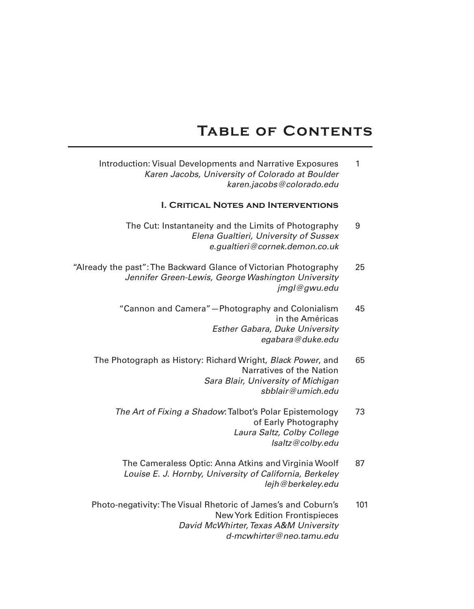# **Table of Contents**

Introduction: Visual Developments and Narrative Exposures 1 *Karen Jacobs, University of Colorado at Boulder karen.jacobs@colorado.edu*

# **I. Critical Notes and Interventions**

- The Cut: Instantaneity and the Limits of Photography 9 *Elena Gualtieri, University of Sussex e.gualtieri@cornek.demon.co.uk*
- "Already the past":The Backward Glance of Victorian Photography 25 *Jennifer Green-Lewis, George Washington University jmgl@gwu.edu*
	- "Cannon and Camera"—Photography and Colonialism 45 in the Américas *Esther Gabara, Duke University egabara@duke.edu*
	- The Photograph as History: Richard Wright, *Black Power*, and 65 Narratives of the Nation *Sara Blair, University of Michigan sbblair@umich.edu*
		- *The Art of Fixing a Shadow: Talbot's Polar Epistemology* 73 of Early Photography *Laura Saltz, Colby College lsaltz@colby.edu*
			- The Cameraless Optic: Anna Atkins and Virginia Woolf 87 *Louise E. J. Hornby, University of California, Berkeley lejh@berkeley.edu*
	- Photo-negativity:The Visual Rhetoric of James's and Coburn's 101 NewYork Edition Frontispieces *David McWhirter,Texas A&M University d-mcwhirter@neo.tamu.edu*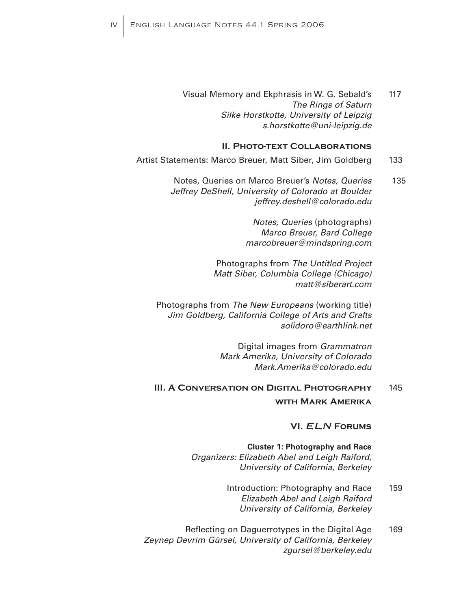Visual Memory and Ekphrasis in W. G. Sebald's 117 *The Rings of Saturn Silke Horstkotte, University of Leipzig s.horstkotte@uni-leipzig.de*

#### **II. Photo-text Collaborations**

- Artist Statements: Marco Breuer, Matt Siber, Jim Goldberg 133
	- Notes, Queries on Marco Breuer's *Notes, Queries* 135 *Jeffrey DeShell, University of Colorado at Boulder jeffrey.deshell@colorado.edu*

*Notes, Queries* (photographs) *Marco Breuer, Bard College marcobreuer@mindspring.com*

Photographs from *The Untitled Project Matt Siber, Columbia College (Chicago) matt@siberart.com*

Photographs from *The New Europeans* (working title) *Jim Goldberg, California College of Arts and Crafts solidoro@earthlink.net*

> Digital images from *Grammatron Mark Amerika, University of Colorado Mark.Amerika@colorado.edu*

# **III. A Conversation on Digital Photography** 145 **with Mark Amerika**

# **VI.** *ELN* **Forums**

**Cluster 1: Photography and Race** *Organizers: Elizabeth Abel and Leigh Raiford, University of California, Berkeley*

- Introduction: Photography and Race 159 *Elizabeth Abel and Leigh Raiford University of California, Berkeley*
- Reflecting on Daguerrotypes in the Digital Age 169 *Zeynep Devrim Gürsel, University of California, Berkeley zgursel@berkeley.edu*

iv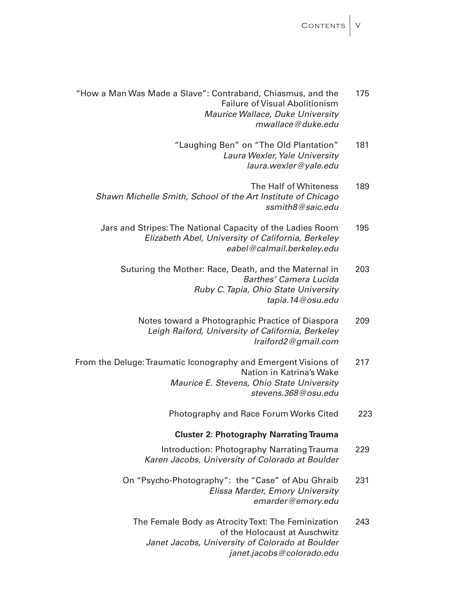CONTENTS | V

- "How a Man Was Made a Slave": Contraband, Chiasmus, and the 175 Failure of Visual Abolitionism *Maurice Wallace, Duke University mwallace@duke.edu*
	- "Laughing Ben" on "The Old Plantation" 181 Laura Wexler, Yale University *laura.wexler@yale.edu*
	- The Half of Whiteness 189 *Shawn Michelle Smith, School of the Art Institute of Chicago ssmith8@saic.edu*
	- Jars and Stripes:The National Capacity of the Ladies Room 195 *Elizabeth Abel, University of California, Berkeley eabel@calmail.berkeley.edu*
		- Suturing the Mother: Race, Death, and the Maternal in 203 *Barthes' Camera Lucida Ruby C.Tapia, Ohio State University tapia.14@osu.edu*
			- Notes toward a Photographic Practice of Diaspora 209 *Leigh Raiford, University of California, Berkeley lraiford2@gmail.com*
- From the Deluge: Traumatic Iconography and Emergent Visions of 217 Nation in Katrina's Wake *Maurice E. Stevens, Ohio State University stevens.368@osu.edu*
	- Photography and Race Forum Works Cited 223

### **Cluster 2: Photography Narrating Trauma**

- Introduction: Photography Narrating Trauma 229 *Karen Jacobs, University of Colorado at Boulder*
- On "Psycho-Photography": the "Case" of Abu Ghraib 231 *Elissa Marder, Emory University emarder@emory.edu*
	- The Female Body as Atrocity Text: The Feminization 243 of the Holocaust at Auschwitz *Janet Jacobs, University of Colorado at Boulder janet.jacobs@colorado.edu*